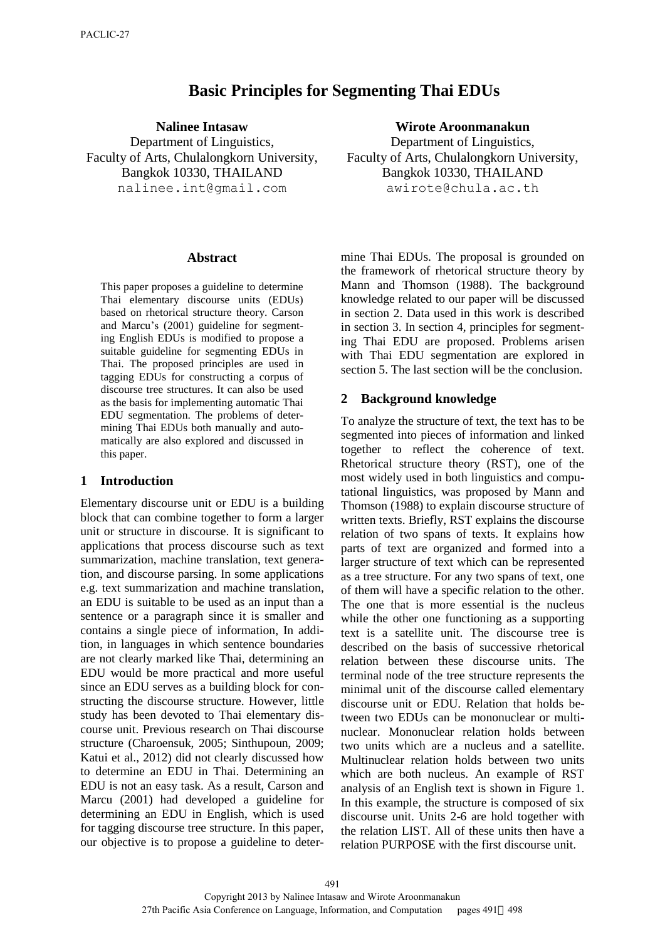# **Basic Principles for Segmenting Thai EDUs**

**Nalinee Intasaw**  Department of Linguistics, Faculty of Arts, Chulalongkorn University, Bangkok 10330, THAILAND nalinee.int@gmail.com

#### **Abstract**

This paper proposes a guideline to determine Thai elementary discourse units (EDUs) based on rhetorical structure theory. Carson and Marcu's (2001) guideline for segmenting English EDUs is modified to propose a suitable guideline for segmenting EDUs in Thai. The proposed principles are used in tagging EDUs for constructing a corpus of discourse tree structures. It can also be used as the basis for implementing automatic Thai EDU segmentation. The problems of determining Thai EDUs both manually and automatically are also explored and discussed in this paper.

#### **1 Introduction**

Elementary discourse unit or EDU is a building block that can combine together to form a larger unit or structure in discourse. It is significant to applications that process discourse such as text summarization, machine translation, text generation, and discourse parsing. In some applications e.g. text summarization and machine translation, an EDU is suitable to be used as an input than a sentence or a paragraph since it is smaller and contains a single piece of information, In addition, in languages in which sentence boundaries are not clearly marked like Thai, determining an EDU would be more practical and more useful since an EDU serves as a building block for constructing the discourse structure. However, little study has been devoted to Thai elementary discourse unit. Previous research on Thai discourse structure (Charoensuk, 2005; Sinthupoun, 2009; Katui et al., 2012) did not clearly discussed how to determine an EDU in Thai. Determining an EDU is not an easy task. As a result, Carson and Marcu (2001) had developed a guideline for determining an EDU in English, which is used for tagging discourse tree structure. In this paper, our objective is to propose a guideline to deter**Wirote Aroonmanakun** 

Department of Linguistics, Faculty of Arts, Chulalongkorn University, Bangkok 10330, THAILAND awirote@chula.ac.th

mine Thai EDUs. The proposal is grounded on the framework of rhetorical structure theory by Mann and Thomson (1988). The background knowledge related to our paper will be discussed in section 2. Data used in this work is described in section 3. In section 4, principles for segmenting Thai EDU are proposed. Problems arisen with Thai EDU segmentation are explored in section 5. The last section will be the conclusion.

#### **2 Background knowledge**

To analyze the structure of text, the text has to be segmented into pieces of information and linked together to reflect the coherence of text. Rhetorical structure theory (RST), one of the most widely used in both linguistics and computational linguistics, was proposed by Mann and Thomson (1988) to explain discourse structure of written texts. Briefly, RST explains the discourse relation of two spans of texts. It explains how parts of text are organized and formed into a larger structure of text which can be represented as a tree structure. For any two spans of text, one of them will have a specific relation to the other. The one that is more essential is the nucleus while the other one functioning as a supporting text is a satellite unit. The discourse tree is described on the basis of successive rhetorical relation between these discourse units. The terminal node of the tree structure represents the minimal unit of the discourse called elementary discourse unit or EDU. Relation that holds between two EDUs can be mononuclear or multinuclear. Mononuclear relation holds between two units which are a nucleus and a satellite. Multinuclear relation holds between two units which are both nucleus. An example of RST analysis of an English text is shown in Figure 1. In this example, the structure is composed of six discourse unit. Units 2-6 are hold together with the relation LIST. All of these units then have a relation PURPOSE with the first discourse unit.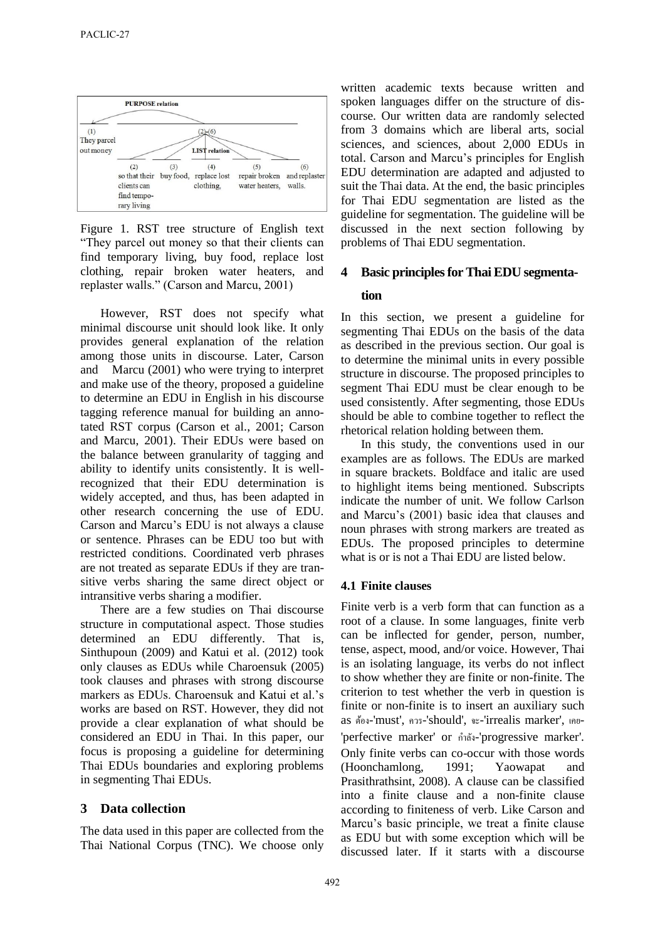

Figure 1. RST tree structure of English text "They parcel out money so that their clients can find temporary living, buy food, replace lost clothing, repair broken water heaters, and replaster walls." (Carson and Marcu, 2001)

However, RST does not specify what minimal discourse unit should look like. It only provides general explanation of the relation among those units in discourse. Later, Carson and Marcu (2001) who were trying to interpret and make use of the theory, proposed a guideline to determine an EDU in English in his discourse tagging reference manual for building an annotated RST corpus (Carson et al., 2001; Carson and Marcu, 2001). Their EDUs were based on the balance between granularity of tagging and ability to identify units consistently. It is wellrecognized that their EDU determination is widely accepted, and thus, has been adapted in other research concerning the use of EDU. Carson and Marcu's EDU is not always a clause or sentence. Phrases can be EDU too but with restricted conditions. Coordinated verb phrases are not treated as separate EDUs if they are transitive verbs sharing the same direct object or intransitive verbs sharing a modifier.

There are a few studies on Thai discourse structure in computational aspect. Those studies determined an EDU differently. That is, Sinthupoun (2009) and Katui et al. (2012) took only clauses as EDUs while Charoensuk (2005) took clauses and phrases with strong discourse markers as EDUs. Charoensuk and Katui et al.'s works are based on RST. However, they did not provide a clear explanation of what should be considered an EDU in Thai. In this paper, our focus is proposing a guideline for determining Thai EDUs boundaries and exploring problems in segmenting Thai EDUs.

# **3 Data collection**

The data used in this paper are collected from the Thai National Corpus (TNC). We choose only written academic texts because written and spoken languages differ on the structure of discourse. Our written data are randomly selected from 3 domains which are liberal arts, social sciences, and sciences, about 2,000 EDUs in total. Carson and Marcu's principles for English EDU determination are adapted and adjusted to suit the Thai data. At the end, the basic principles for Thai EDU segmentation are listed as the guideline for segmentation. The guideline will be discussed in the next section following by problems of Thai EDU segmentation.

# **4 Basic principles for Thai EDU segmentation**

In this section, we present a guideline for segmenting Thai EDUs on the basis of the data as described in the previous section. Our goal is to determine the minimal units in every possible structure in discourse. The proposed principles to segment Thai EDU must be clear enough to be used consistently. After segmenting, those EDUs should be able to combine together to reflect the rhetorical relation holding between them.

In this study, the conventions used in our examples are as follows. The EDUs are marked in square brackets. Boldface and italic are used to highlight items being mentioned. Subscripts indicate the number of unit. We follow Carlson and Marcu's (2001) basic idea that clauses and noun phrases with strong markers are treated as EDUs. The proposed principles to determine what is or is not a Thai EDU are listed below.

#### **4.1 Finite clauses**

Finite verb is a verb form that can function as a root of a clause. In some languages, finite verb can be inflected for gender, person, number, tense, aspect, mood, and/or voice. However, Thai is an isolating language, its verbs do not inflect to show whether they are finite or non-finite. The criterion to test whether the verb in question is finite or non-finite is to insert an auxiliary such as ต้อง-'must', ควร-'should', จะ-'irrealis marker', เคย- 'perfective marker' or กำลัง -'progressive marker'. Only finite verbs can co-occur with those words  $(Hoonchamlong, 1991; Yaowapat)$ Prasithrathsint, 2008). A clause can be classified into a finite clause and a non-finite clause according to finiteness of verb. Like Carson and Marcu's basic principle, we treat a finite clause as EDU but with some exception which will be discussed later. If it starts with a discourse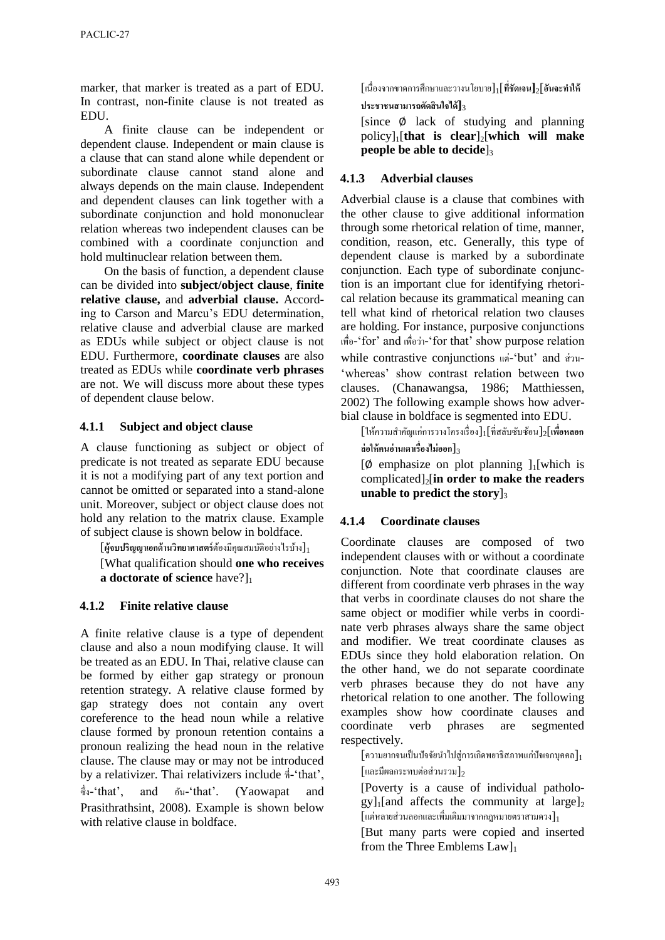marker, that marker is treated as a part of EDU. In contrast, non-finite clause is not treated as EDU.

A finite clause can be independent or dependent clause. Independent or main clause is a clause that can stand alone while dependent or subordinate clause cannot stand alone and always depends on the main clause. Independent and dependent clauses can link together with a subordinate conjunction and hold mononuclear relation whereas two independent clauses can be combined with a coordinate conjunction and hold multinuclear relation between them.

On the basis of function, a dependent clause can be divided into **subject/object clause**, **finite relative clause,** and **adverbial clause.** According to Carson and Marcu's EDU determination, relative clause and adverbial clause are marked as EDUs while subject or object clause is not EDU. Furthermore, **coordinate clauses** are also treated as EDUs while **coordinate verb phrases** are not. We will discuss more about these types of dependent clause below.

#### **4.1.1 Subject and object clause**

A clause functioning as subject or object of predicate is not treated as separate EDU because it is not a modifying part of any text portion and cannot be omitted or separated into a stand-alone unit. Moreover, subject or object clause does not hold any relation to the matrix clause. Example of subject clause is shown below in boldface.

[**ผ้จบปริญญาเอกด้านวิทยาศาสตร์ ู** ต้องมีคุณสมบัติอยำงไรบ้ำง ่ ]<sup>1</sup>

[What qualification should **one who receives a doctorate of science** have?]<sub>1</sub>

# **4.1.2 Finite relative clause**

A finite relative clause is a type of dependent clause and also a noun modifying clause. It will be treated as an EDU. In Thai, relative clause can be formed by either gap strategy or pronoun retention strategy. A relative clause formed by gap strategy does not contain any overt coreference to the head noun while a relative clause formed by pronoun retention contains a pronoun realizing the head noun in the relative clause. The clause may or may not be introduced by a relativizer. Thai relativizers include ที่-'that', ซึ่ง-'that', and อัน-'that'. (Yaowapat and Prasithrathsint, 2008). Example is shown below with relative clause in boldface.

[เนื่องจำกขำดกำรศึกษำและวำงนโยบำย]1[**ที่ชัดเจน]**2]**อันจะท าให้ ประชาชนสามารถตัดสินใจได้]**<sup>3</sup>

[since ∅ lack of studying and planning policy]1[**that is clear**]2[**which will make people be able to decide** 

# **4.1.3 Adverbial clauses**

Adverbial clause is a clause that combines with the other clause to give additional information through some rhetorical relation of time, manner, condition, reason, etc. Generally, this type of dependent clause is marked by a subordinate conjunction. Each type of subordinate conjunction is an important clue for identifying rhetorical relation because its grammatical meaning can tell what kind of rhetorical relation two clauses are holding. For instance, purposive conjunctions เพื่อ-'for' and เพื่อวำ่ -'for that' show purpose relation while contrastive conjunctions แต่-'but' and ส่วน- 'whereas' show contrast relation between two clauses. (Chanawangsa, 1986; Matthiessen, 2002) The following example shows how adverbial clause in boldface is segmented into EDU.

[ให้ควำมส ำคัญแก่กำรวำงโครงเรื่อง]1[ที่สลับซับซ้อน]2[**เพื่อหลอก ล่อให้คนอ่านเดาเรื่องไม่ออก**]<sup>3</sup>

 $[\emptyset]$  emphasize on plot planning  $]_1$ [which is complicated]2[**in order to make the readers unable to predict the story**]<sub>3</sub>

# **4.1.4 Coordinate clauses**

Coordinate clauses are composed of two independent clauses with or without a coordinate conjunction. Note that coordinate clauses are different from coordinate verb phrases in the way that verbs in coordinate clauses do not share the same object or modifier while verbs in coordinate verb phrases always share the same object and modifier. We treat coordinate clauses as EDUs since they hold elaboration relation. On the other hand, we do not separate coordinate verb phrases because they do not have any rhetorical relation to one another. The following examples show how coordinate clauses and coordinate verb phrases are segmented respectively.

 $\lceil$ ความยากจนเป็นปัจจัยนำไปส่การเกิดพยาธิสภาพแก่ปัจเจกบคคล $\rceil_1$  $\lceil$ และมีผลกระทบต่อส่วนรวม $\rceil$ 2

[Poverty is a cause of individual patholo $g\nu$ <sub>1</sub>[and affects the community at large]<sub>2</sub>  $\lceil$ แต่หลายส่วนลอกและเพิ่มเติมมาจากกฎหมายตราสามดวง $\rceil_1$ 

[But many parts were copied and inserted from the Three Emblems  $Law$ <sub>1</sub>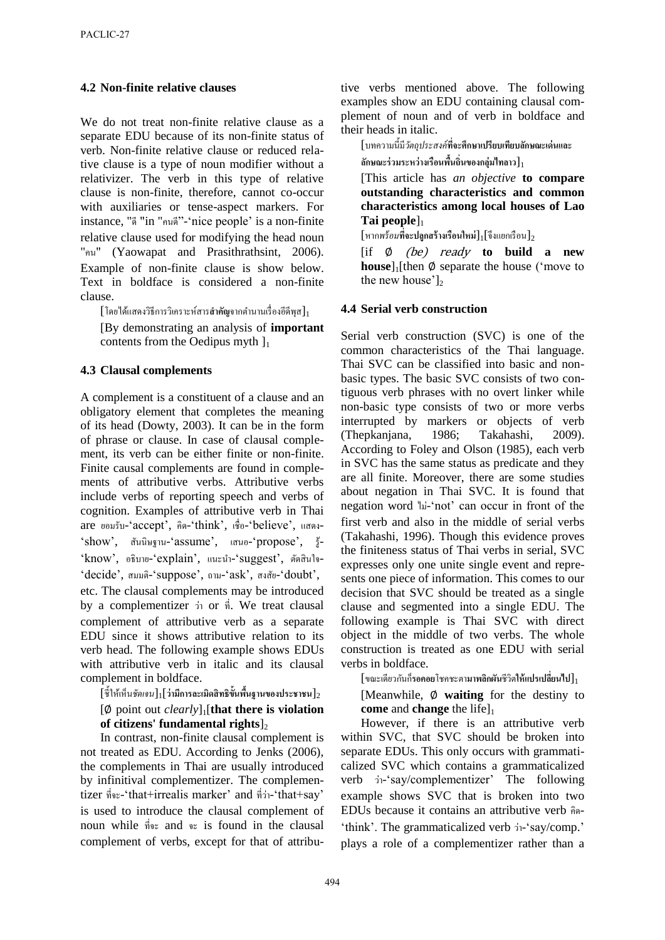#### **4.2 Non-finite relative clauses**

We do not treat non-finite relative clause as a separate EDU because of its non-finite status of verb. Non-finite relative clause or reduced relative clause is a type of noun modifier without a relativizer. The verb in this type of relative clause is non-finite, therefore, cannot co-occur with auxiliaries or tense-aspect markers. For instance, "ดี "in "คนดี"-'nice people' is a non-finite relative clause used for modifying the head noun "คน" (Yaowapat and Prasithrathsint, 2006). Example of non-finite clause is show below. Text in boldface is considered a non-finite clause.

 $\left[\hspace{0.8mm}\right]$ โดยได้แสดงวิธีการวิเคราะห์สาร**สำคัญ**จากตำนานเรื่องอีดีพุส $\left.\right]_{1}$ 

[By demonstrating an analysis of **important** contents from the Oedipus myth  $\mathcal{L}_1$ 

#### **4.3 Clausal complements**

A complement is a constituent of a clause and an obligatory element that completes the meaning of its head (Dowty, 2003). It can be in the form of phrase or clause. In case of clausal complement, its verb can be either finite or non-finite. Finite causal complements are found in complements of attributive verbs. Attributive verbs include verbs of reporting speech and verbs of cognition. Examples of attributive verb in Thai are ยอมรับ-'accept', คิด-'think', เชื่อ-'believe', แสดง- 'show', สันนิษฐำน-'assume', เสนอ-'propose', รู้- 'know', อธิบาย-'explain', แนะนำ-'suggest', ตัดสินใจ-'decide', สมมติ-'suppose', ถำม-'ask', สงสัย-'doubt', etc. The clausal complements may be introduced by a complementizer วำ่ or ที่. We treat clausal complement of attributive verb as a separate EDU since it shows attributive relation to its verb head. The following example shows EDUs with attributive verb in italic and its clausal complement in boldface.

 $[\![\tilde{\vec{\mathfrak{g}}}\!]$ ให้เห็น*ชัดเจน*] $_1$ [ว่ามีการละเมิดสิทธิขั้นพื้นฐานของประชาชน] $_2$ [∅ point out *clearly*]1[**that there is violation** 

**of citizens' fundamental rights**]<sub>2</sub>

In contrast, non-finite clausal complement is not treated as EDU. According to Jenks (2006), the complements in Thai are usually introduced by infinitival complementizer. The complementizer ที่จะ-'that+irrealis marker' and ที่วำ่ -'that+say' is used to introduce the clausal complement of noun while ที่จะ and จะ is found in the clausal complement of verbs, except for that of attributive verbs mentioned above. The following examples show an EDU containing clausal complement of noun and of verb in boldface and their heads in italic.

[บทควำมนี้มี*วัตถุประสงค์***ที่จะศึกษาเปรียบเทียบลักษณะเด่นและ ลักษณะร่วมระหว่างเรือนพื้นถิ่นของกล่มไทลาว ุ** ]<sup>1</sup>

[This article has *an objective* **to compare outstanding characteristics and common characteristics among local houses of Lao Tai people**]<sub>1</sub>

 $\left[\mathsf{m}$ ก*พร้อม*ที่**จะปลูกสร้างเรือนใหม่** $\mathsf{J}_1$ **[จึงแยกเรือน** $\mathsf{J}_2$ 

[if ∅ (be) ready **to build a new house**]<sub>1</sub>[then ∅ separate the house ('move to the new house'] $2$ 

# **4.4 Serial verb construction**

Serial verb construction (SVC) is one of the common characteristics of the Thai language. Thai SVC can be classified into basic and nonbasic types. The basic SVC consists of two contiguous verb phrases with no overt linker while non-basic type consists of two or more verbs interrupted by markers or objects of verb (Thepkanjana, 1986; Takahashi, 2009). According to Foley and Olson (1985), each verb in SVC has the same status as predicate and they are all finite. Moreover, there are some studies about negation in Thai SVC. It is found that negation word ไม-่ 'not' can occur in front of the first verb and also in the middle of serial verbs (Takahashi, 1996). Though this evidence proves the finiteness status of Thai verbs in serial, SVC expresses only one unite single event and represents one piece of information. This comes to our decision that SVC should be treated as a single clause and segmented into a single EDU. The following example is Thai SVC with direct object in the middle of two verbs. The whole construction is treated as one EDU with serial verbs in boldface.

 $\lceil$ ขณะเดียวกันก็รอคอยโชคชะตามาพลิกผันชีวิตให้แปรเปลี่ยนไป $\rceil_1$ 

[Meanwhile, ∅ **waiting** for the destiny to **come** and **change** the life]<sub>1</sub>

However, if there is an attributive verb within SVC, that SVC should be broken into separate EDUs. This only occurs with grammaticalized SVC which contains a grammaticalized verb ว่า-'say/complementizer' The following example shows SVC that is broken into two EDUs because it contains an attributive verb คิด- 'think'. The grammaticalized verb วำ่ -'say/comp.' plays a role of a complementizer rather than a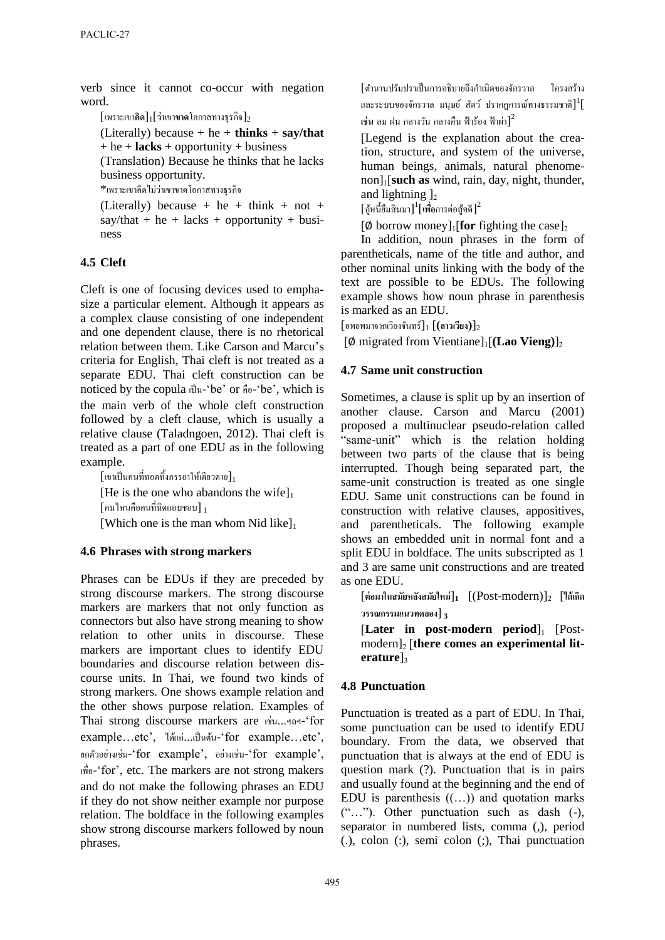verb since it cannot co-occur with negation word.

[เพรำะเขำ**คิด**]1[**ว่า**เขำ**ขาด**โอกำสทำงธุรกิจ]<sup>2</sup>

(Literally) because  $+$  he  $+$  **thinks**  $+$  **say/that** + he + **lacks** + opportunity + business

(Translation) Because he thinks that he lacks business opportunity.

\*เพราะเขาคิดไม่ว่าเขาขาดโอกาสทางธุรกิจ

(Literally) because + he + think + not +  $say/that + he + lacks + opportunity + busi$ ness

# **4.5 Cleft**

Cleft is one of focusing devices used to emphasize a particular element. Although it appears as a complex clause consisting of one independent and one dependent clause, there is no rhetorical relation between them. Like Carson and Marcu's criteria for English, Thai cleft is not treated as a separate EDU. Thai cleft construction can be noticed by the copula เป็ น-'be' or คือ-'be', which is the main verb of the whole cleft construction followed by a cleft clause, which is usually a relative clause (Taladngoen, 2012). Thai cleft is treated as a part of one EDU as in the following example.

 $\left[\left[$ เขาเป็นคนที่ทอดทิ้งภรรยาให้เดียวดาย $\right]_1$ [He is the one who abandons the wife] $_1$  $\lceil$ คนไหนคือคนที่นิดแอบชอบ $\rceil_1$ [Which one is the man whom Nid like] $_1$ 

# **4.6 Phrases with strong markers**

Phrases can be EDUs if they are preceded by strong discourse markers. The strong discourse markers are markers that not only function as connectors but also have strong meaning to show relation to other units in discourse. These markers are important clues to identify EDU boundaries and discourse relation between discourse units. In Thai, we found two kinds of strong markers. One shows example relation and the other shows purpose relation. Examples of Thai strong discourse markers are เช่น...ฯลฯ-'for example…etc', ได้แก่...เป็นต้น-'for example...etc', ยกตัวอย่างเช่น-'for example', อย่างเช่น-'for example', เพื่อ-'for', etc. The markers are not strong makers and do not make the following phrases an EDU if they do not show neither example nor purpose relation. The boldface in the following examples show strong discourse markers followed by noun phrases.

[ต ำนำนปรัมปรำเป็ นกำรอธิบำยถึงกำเนิด ของจักรวำล โครงสร้ำง และระบบของจักรวาล มนุษย์ สัตว์ ปรากฏการณ์ทางธรรมชาติ $]^{1}[\,$  $\vec{u}$ น ลม ฝน กลางวัน กลางคืน ฟ้าร้อง ฟ้าผ่า $]^2$ 

[Legend is the explanation about the creation, structure, and system of the universe, human beings, animals, natural phenomenon]1[**such as** wind, rain, day, night, thunder, and lightning  $\vert$ ,

 $\left[\left.\right. \right]$ ท์นี้ขึมสินมา $\left.\right]^{1}$ [เพื่อการต่อสู้คดี] $^{2}$ 

 $\phi$  borrow money]<sub>1</sub>[for fighting the case]<sub>2</sub>

In addition, noun phrases in the form of parentheticals, name of the title and author, and other nominal units linking with the body of the text are possible to be EDUs. The following example shows how noun phrase in parenthesis is marked as an EDU.

 $\lceil$ อพยพมาจากเวียงจันทร์ $\rceil_1$   $\lceil$  (**ลาวเวียง**) $\rceil_2$ 

[Ø migrated from Vientiane]<sub>1</sub>[(Lao Vieng)]<sub>2</sub>

# **4.7 Same unit construction**

Sometimes, a clause is split up by an insertion of another clause. Carson and Marcu (2001) proposed a multinuclear pseudo-relation called "same-unit" which is the relation holding between two parts of the clause that is being interrupted. Though being separated part, the same-unit construction is treated as one single EDU. Same unit constructions can be found in construction with relative clauses, appositives, and parentheticals. The following example shows an embedded unit in normal font and a split EDU in boldface. The units subscripted as 1 and 3 are same unit constructions and are treated as one EDU.

[**ต่อมาในสมัยหลังสมัยใหม่**]**<sup>1</sup>** [(Post-modern)]<sup>2</sup> [**ได้เกิด วรรณกรรมแนวทดลอง**] **<sup>3</sup>**

[Later in post-modern period]<sub>1</sub> [Postmodern]<sup>2</sup> [**there comes an experimental literature**]3

# **4.8 Punctuation**

Punctuation is treated as a part of EDU. In Thai, some punctuation can be used to identify EDU boundary. From the data, we observed that punctuation that is always at the end of EDU is question mark (?). Punctuation that is in pairs and usually found at the beginning and the end of EDU is parenthesis  $((\ldots))$  and quotation marks ("…"). Other punctuation such as dash (-), separator in numbered lists, comma (,), period (.), colon (:), semi colon (;), Thai punctuation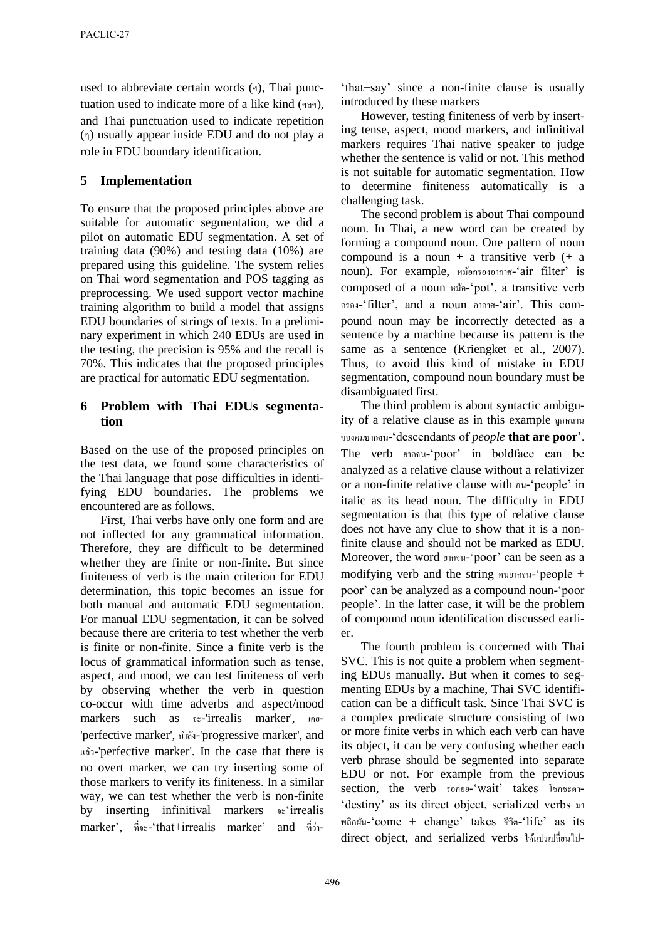used to abbreviate certain words  $(4)$ , Thai punctuation used to indicate more of a like kind (ฯลฯ), and Thai punctuation used to indicate repetition (ๆ) usually appear inside EDU and do not play a role in EDU boundary identification.

# **5 Implementation**

To ensure that the proposed principles above are suitable for automatic segmentation, we did a pilot on automatic EDU segmentation. A set of training data (90%) and testing data (10%) are prepared using this guideline. The system relies on Thai word segmentation and POS tagging as preprocessing. We used support vector machine training algorithm to build a model that assigns EDU boundaries of strings of texts. In a preliminary experiment in which 240 EDUs are used in the testing, the precision is 95% and the recall is 70%. This indicates that the proposed principles are practical for automatic EDU segmentation.

#### **6 Problem with Thai EDUs segmentation**

Based on the use of the proposed principles on the test data, we found some characteristics of the Thai language that pose difficulties in identifying EDU boundaries. The problems we encountered are as follows.

First, Thai verbs have only one form and are not inflected for any grammatical information. Therefore, they are difficult to be determined whether they are finite or non-finite. But since finiteness of verb is the main criterion for EDU determination, this topic becomes an issue for both manual and automatic EDU segmentation. For manual EDU segmentation, it can be solved because there are criteria to test whether the verb is finite or non-finite. Since a finite verb is the locus of grammatical information such as tense, aspect, and mood, we can test finiteness of verb by observing whether the verb in question co-occur with time adverbs and aspect/mood markers such as จะ-'irrealis marker', เคย- 'perfective marker', กำลัง -'progressive marker', and แล้ว-'perfective marker'. In the case that there is no overt marker, we can try inserting some of those markers to verify its finiteness. In a similar way, we can test whether the verb is non-finite by inserting infinitival markers จะ'irrealis marker', ที่จะ-'that+irrealis marker' and ที่วำ่ -

'that+say' since a non-finite clause is usually introduced by these markers

However, testing finiteness of verb by inserting tense, aspect, mood markers, and infinitival markers requires Thai native speaker to judge whether the sentence is valid or not. This method is not suitable for automatic segmentation. How to determine finiteness automatically is a challenging task.

The second problem is about Thai compound noun. In Thai, a new word can be created by forming a compound noun. One pattern of noun compound is a noun + a transitive verb  $(+ \text{ a})$ noun). For example, หม้อกรองอำกำศ-'air filter' is composed of a noun หม้อ-'pot', a transitive verb กรอง-'filter', and a noun อำกำศ-'air'. This compound noun may be incorrectly detected as a sentence by a machine because its pattern is the same as a sentence (Kriengket et al., 2007). Thus, to avoid this kind of mistake in EDU segmentation, compound noun boundary must be disambiguated first.

The third problem is about syntactic ambiguity of a relative clause as in this example ลูกหลำน ของ*คน***ยากจน**-'descendants of *people* **that are poor**'. The verb ยำกจน-'poor' in boldface can be analyzed as a relative clause without a relativizer or a non-finite relative clause with คน-'people' in italic as its head noun. The difficulty in EDU segmentation is that this type of relative clause does not have any clue to show that it is a nonfinite clause and should not be marked as EDU. Moreover, the word ยำกจน-'poor' can be seen as a modifying verb and the string คนยำกจน-'people + poor' can be analyzed as a compound noun-'poor people'. In the latter case, it will be the problem of compound noun identification discussed earlier.

The fourth problem is concerned with Thai SVC. This is not quite a problem when segmenting EDUs manually. But when it comes to segmenting EDUs by a machine, Thai SVC identification can be a difficult task. Since Thai SVC is a complex predicate structure consisting of two or more finite verbs in which each verb can have its object, it can be very confusing whether each verb phrase should be segmented into separate EDU or not. For example from the previous section, the verb รอคอย-'wait' takes โชคชะตำ- 'destiny' as its direct object, serialized verbs มำ พลิกผัน-'come + change' takes ชีวิต-'life' as its direct object, and serialized verbs ให้แปรเปลี่ยนไป-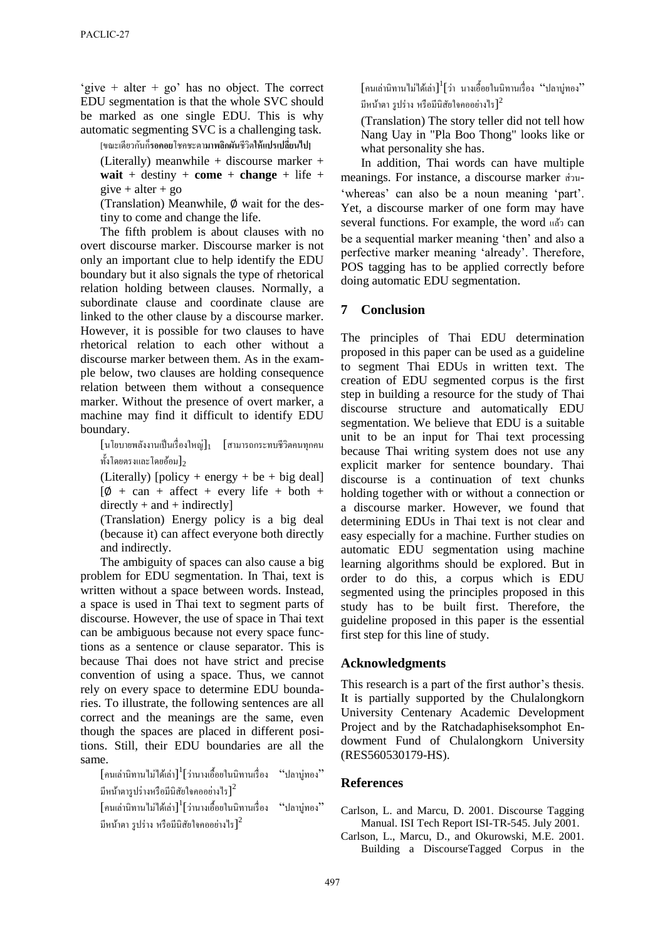'give + alter + go' has no object. The correct EDU segmentation is that the whole SVC should be marked as one single EDU. This is why automatic segmenting SVC is a challenging task.

[ขณะเดียวกนกั **รอคอ** ็ **ย**โชคชะตำ**มาพลิกผัน**ชีวิต**ให้แปรเปลี่ยนไป]**

(Literally) meanwhile + discourse marker + **wait** + destiny + **come** + **change** + life +  $give + alter + go$ 

(Translation) Meanwhile, ∅ wait for the destiny to come and change the life.

The fifth problem is about clauses with no overt discourse marker. Discourse marker is not only an important clue to help identify the EDU boundary but it also signals the type of rhetorical relation holding between clauses. Normally, a subordinate clause and coordinate clause are linked to the other clause by a discourse marker. However, it is possible for two clauses to have rhetorical relation to each other without a discourse marker between them. As in the example below, two clauses are holding consequence relation between them without a consequence marker. Without the presence of overt marker, a machine may find it difficult to identify EDU boundary.

 $\lceil$ นโยบายพลังงานเป็นเรื่องใหญ่ $\rceil_1$   $\lceil$ สามารถกระทบชีวิตคนทุกคน ทั้งโดยตรงและโดยอ้อม $\mathbf{l}_2$ 

(Literally) [policy + energy + be + big deal]  $[\emptyset + \text{can} + \text{affect} + \text{every} \text{ life} + \text{both} +$  $directly + and + indirectly]$ 

(Translation) Energy policy is a big deal (because it) can affect everyone both directly and indirectly.

The ambiguity of spaces can also cause a big problem for EDU segmentation. In Thai, text is written without a space between words. Instead, a space is used in Thai text to segment parts of discourse. However, the use of space in Thai text can be ambiguous because not every space functions as a sentence or clause separator. This is because Thai does not have strict and precise convention of using a space. Thus, we cannot rely on every space to determine EDU boundaries. To illustrate, the following sentences are all correct and the meanings are the same, even though the spaces are placed in different positions. Still, their EDU boundaries are all the same.

 $\left[\begin{smallmatrix} \mathsf{nu} \mathsf{a}\mathsf{nu} \mathsf{u} \mathsf{nu} \mathsf{u} \mathsf{nu} \mathsf{u} \mathsf{u} \mathsf{u} \mathsf{u} \mathsf{u} \mathsf{u} \mathsf{u} \mathsf{u} \mathsf{u} \mathsf{u} \mathsf{u} \mathsf{u} \mathsf{u} \mathsf{u} \mathsf{u} \mathsf{u} \mathsf{u} \mathsf{u} \mathsf{u} \mathsf{u} \mathsf{u} \mathsf{u} \mathsf{u} \mathsf{u} \mathsf{u} \mathsf{u} \mathsf{u} \mathsf{u} \math$ มีหน้าตารูปร่างหรือมีนิสัยใจกออย่างไร $\,\bigr]^2$ 

 $\left[\left.\left[\mathsf{nu}\right.\right.$ เล่านิทาน $\left|\mathsf{nu}\right.\right|$ ได้เล่า $\left.\right]^{1}$ [ว่านางเอื้อยในนิทานเรื่อง "ปลาบู่ทอง" มีหน้าตา รูปร่าง หรือมีนิสัยใจคออย่างไร $\, ]^2$ 

 $\,$ [คนเล่านิทานไม่ได้เล่า] $^1$ [ว่า นางเอื้อขในนิทานเรื่อง "ปลาบู่ทอง $^{\prime\prime}$ มีหน้าตา รูปร่าง หรือมีนิสัยใจคออย่างไร] $^{\mathsf{2}}$ 

(Translation) The story teller did not tell how Nang Uay in "Pla Boo Thong" looks like or what personality she has.

In addition, Thai words can have multiple meanings. For instance, a discourse marker ส่วน- 'whereas' can also be a noun meaning 'part'. Yet, a discourse marker of one form may have several functions. For example, the word แล้ว can be a sequential marker meaning 'then' and also a perfective marker meaning 'already'. Therefore, POS tagging has to be applied correctly before doing automatic EDU segmentation.

#### **7 Conclusion**

The principles of Thai EDU determination proposed in this paper can be used as a guideline to segment Thai EDUs in written text. The creation of EDU segmented corpus is the first step in building a resource for the study of Thai discourse structure and automatically EDU segmentation. We believe that EDU is a suitable unit to be an input for Thai text processing because Thai writing system does not use any explicit marker for sentence boundary. Thai discourse is a continuation of text chunks holding together with or without a connection or a discourse marker. However, we found that determining EDUs in Thai text is not clear and easy especially for a machine. Further studies on automatic EDU segmentation using machine learning algorithms should be explored. But in order to do this, a corpus which is EDU segmented using the principles proposed in this study has to be built first. Therefore, the guideline proposed in this paper is the essential first step for this line of study.

#### **Acknowledgments**

This research is a part of the first author's thesis. It is partially supported by the Chulalongkorn University Centenary Academic Development Project and by the Ratchadaphiseksomphot Endowment Fund of Chulalongkorn University (RES560530179-HS).

#### **References**

Carlson, L. and Marcu, D. 2001. Discourse Tagging Manual. ISI Tech Report ISI-TR-545. July 2001.

Carlson, L., Marcu, D., and Okurowski, M.E. 2001. Building a DiscourseTagged Corpus in the